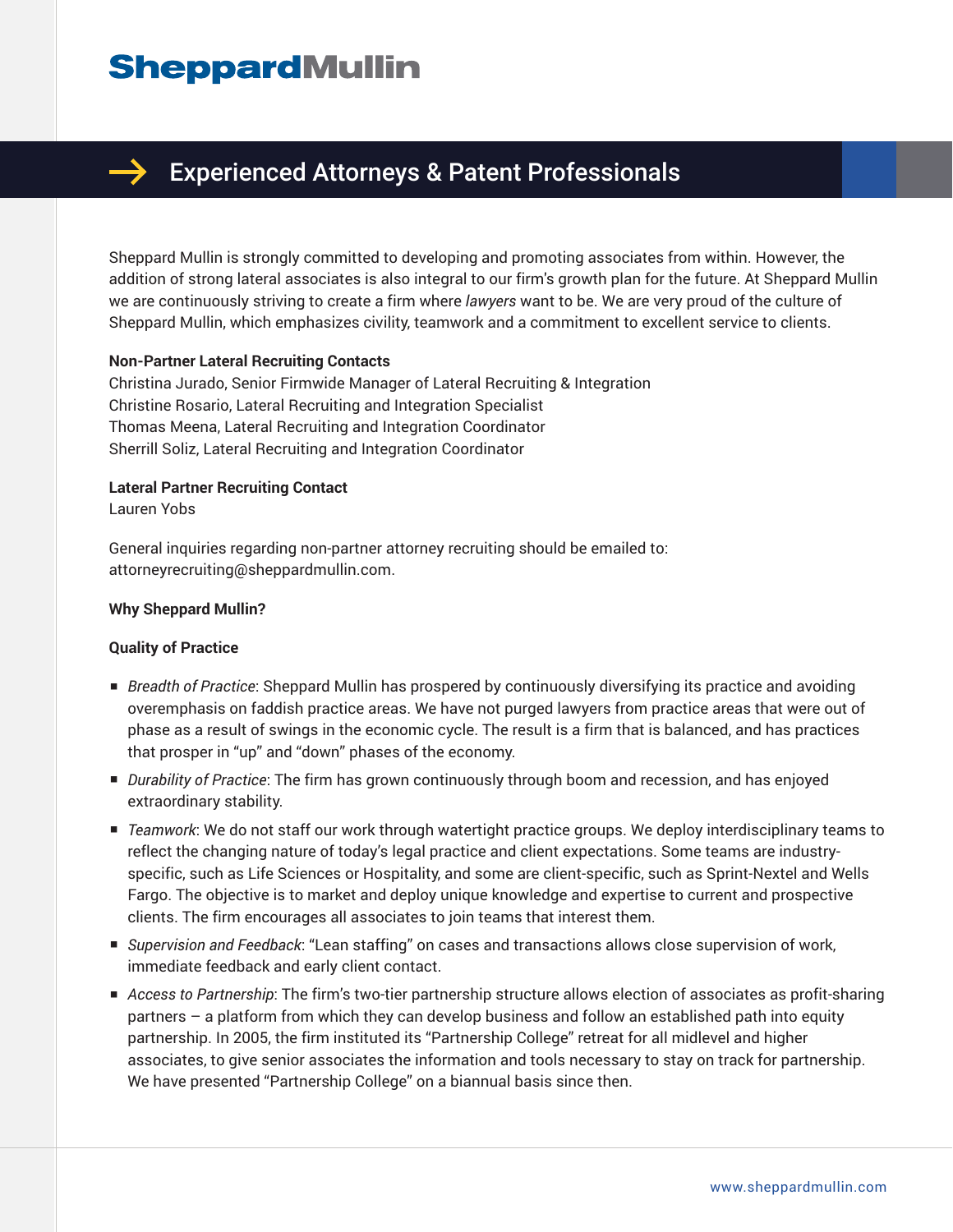# **SheppardMullin**



# Experienced Attorneys & Patent Professionals

Sheppard Mullin is strongly committed to developing and promoting associates from within. However, the addition of strong lateral associates is also integral to our firm's growth plan for the future. At Sheppard Mullin we are continuously striving to create a firm where *lawyers* want to be. We are very proud of the culture of Sheppard Mullin, which emphasizes civility, teamwork and a commitment to excellent service to clients.

#### **Non-Partner Lateral Recruiting Contacts**

Christina Jurado, Senior Firmwide Manager of Lateral Recruiting & Integration Christine Rosario, Lateral Recruiting and Integration Specialist Thomas Meena, Lateral Recruiting and Integration Coordinator Sherrill Soliz, Lateral Recruiting and Integration Coordinator

# **Lateral Partner Recruiting Contact**

Lauren Yobs

General inquiries regarding non-partner attorney recruiting should be emailed to: attorneyrecruiting@sheppardmullin.com.

#### **Why Sheppard Mullin?**

#### **Quality of Practice**

- *Breadth of Practice*: Sheppard Mullin has prospered by continuously diversifying its practice and avoiding overemphasis on faddish practice areas. We have not purged lawyers from practice areas that were out of phase as a result of swings in the economic cycle. The result is a firm that is balanced, and has practices that prosper in "up" and "down" phases of the economy.
- *Durability of Practice*: The firm has grown continuously through boom and recession, and has enjoyed extraordinary stability.
- *Teamwork*: We do not staff our work through watertight practice groups. We deploy interdisciplinary teams to reflect the changing nature of today's legal practice and client expectations. Some teams are industryspecific, such as Life Sciences or Hospitality, and some are client-specific, such as Sprint-Nextel and Wells Fargo. The objective is to market and deploy unique knowledge and expertise to current and prospective clients. The firm encourages all associates to join teams that interest them.
- *Supervision and Feedback*: "Lean staffing" on cases and transactions allows close supervision of work, immediate feedback and early client contact.
- *Access to Partnership*: The firm's two-tier partnership structure allows election of associates as profit-sharing partners – a platform from which they can develop business and follow an established path into equity partnership. In 2005, the firm instituted its "Partnership College" retreat for all midlevel and higher associates, to give senior associates the information and tools necessary to stay on track for partnership. We have presented "Partnership College" on a biannual basis since then.